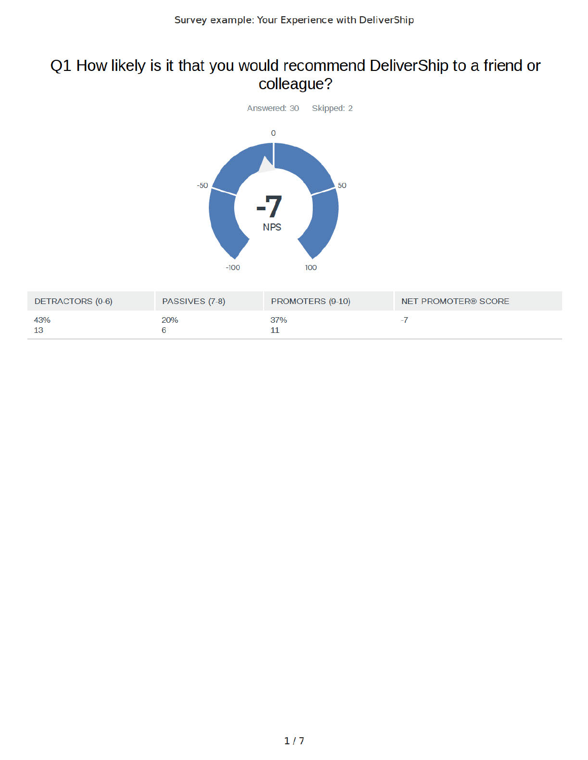# Q1 How likely is it that you would recommend DeliverShip to a friend or colleague?



| DETRACTORS (0-6) | PASSIVES (7-8) | PROMOTERS (9-10) | NET PROMOTER® SCORE |
|------------------|----------------|------------------|---------------------|
| 43%<br>13        | 20%            | 37%              |                     |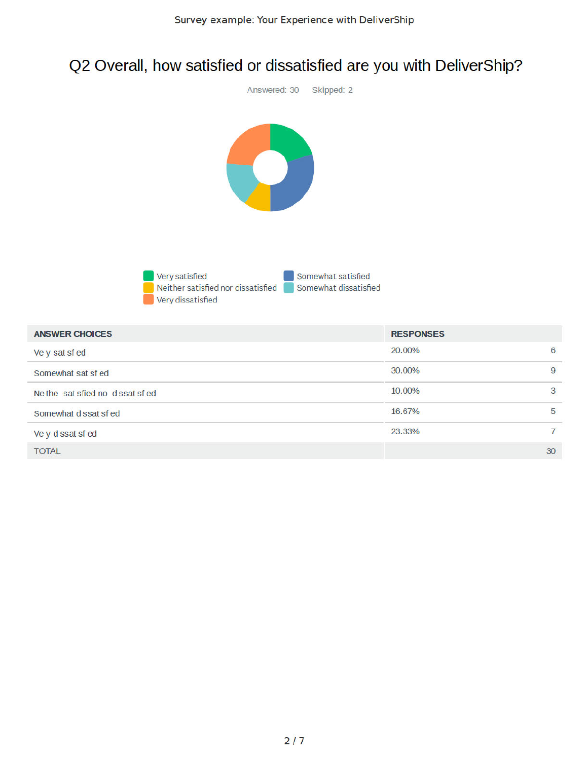# Q2 Overall, how satisfied or dissatisfied are you with DeliverShip?



 $6\phantom{a}$ 

 $\overline{9}$ 

3

5

 $\overline{7}$ 

30

Ve y d ssat sf ed

**TOTAL**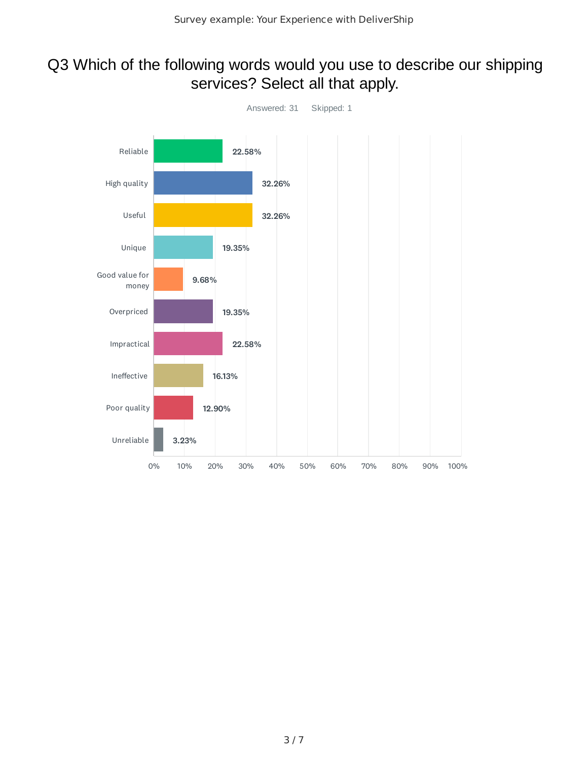### Q3 Which of the following words would you use to describe our shipping services? Select all that apply.

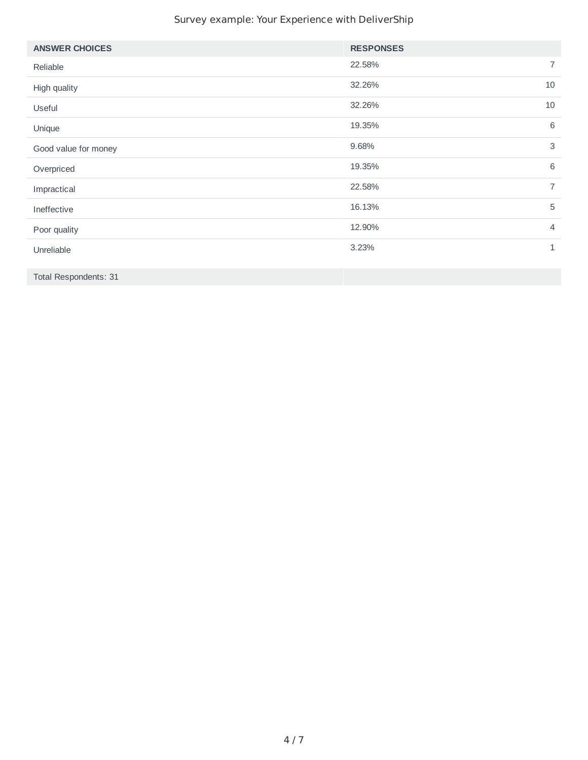#### Survey example: Your Experience with DeliverShip

| <b>ANSWER CHOICES</b> | <b>RESPONSES</b>          |
|-----------------------|---------------------------|
| Reliable              | $\overline{7}$<br>22.58%  |
| High quality          | 10<br>32.26%              |
| Useful                | 32.26%<br>10              |
| Unique                | 6<br>19.35%               |
| Good value for money  | $\mathbf{3}$<br>9.68%     |
| Overpriced            | $6\phantom{1}6$<br>19.35% |
| Impractical           | $\overline{7}$<br>22.58%  |
| Ineffective           | 5<br>16.13%               |
| Poor quality          | 12.90%<br>$\overline{4}$  |
| Unreliable            | 3.23%<br>$1\,$            |
|                       |                           |

Total Respondents: 31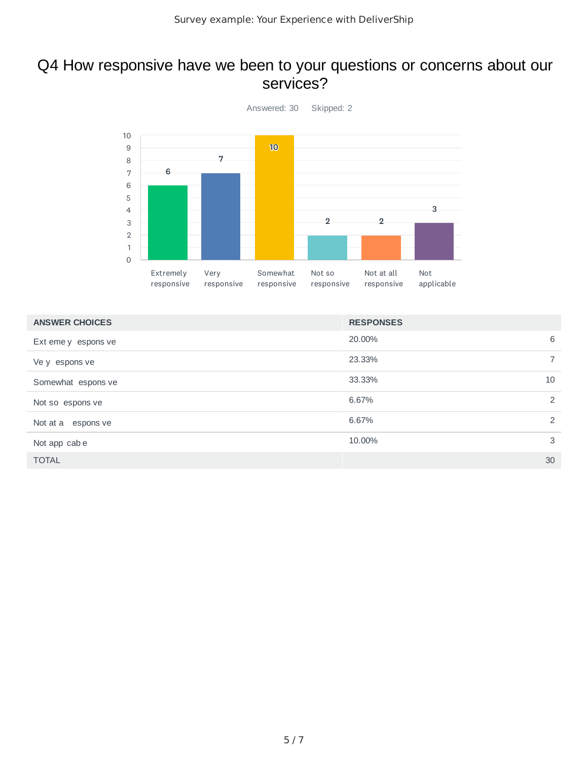### Q4 How responsive have we been to your questions or concerns about our services?



| <b>ANSWER CHOICES</b> | <b>RESPONSES</b> |  |
|-----------------------|------------------|--|
| Ext eme y espons ve   | 20,00%<br>6      |  |
| Ve y espons ve        | 23.33%<br>7      |  |
| Somewhat espons ve    | 33.33%<br>10     |  |
| Not so espons ve      | 6.67%<br>2       |  |
| Not at a espons ve    | 6.67%<br>2       |  |
| Not app cabe          | 3<br>10.00%      |  |
| <b>TOTAL</b>          | 30               |  |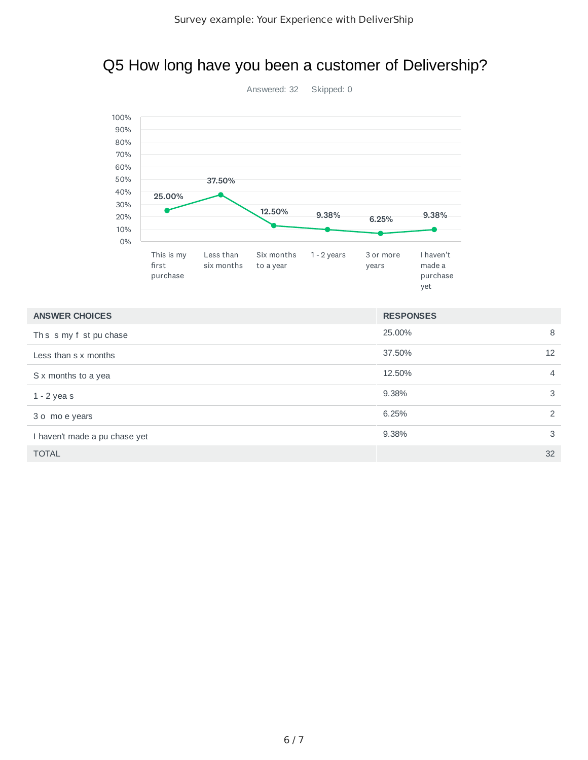### Q5 How long have you been a customer of Delivership?



| <b>ANSWER CHOICES</b>         | <b>RESPONSES</b> |                |
|-------------------------------|------------------|----------------|
| Ths s my f st pu chase        | 25.00%           | 8              |
| Less than s x months          | 37.50%           | 12             |
| S x months to a yea           | 12.50%           | $\overline{4}$ |
| $1 - 2$ yeas                  | 9.38%            | 3              |
| 3 o mo e years                | 6.25%            | 2              |
| I haven't made a pu chase yet | 9.38%            | 3              |
| <b>TOTAL</b>                  |                  | 32             |